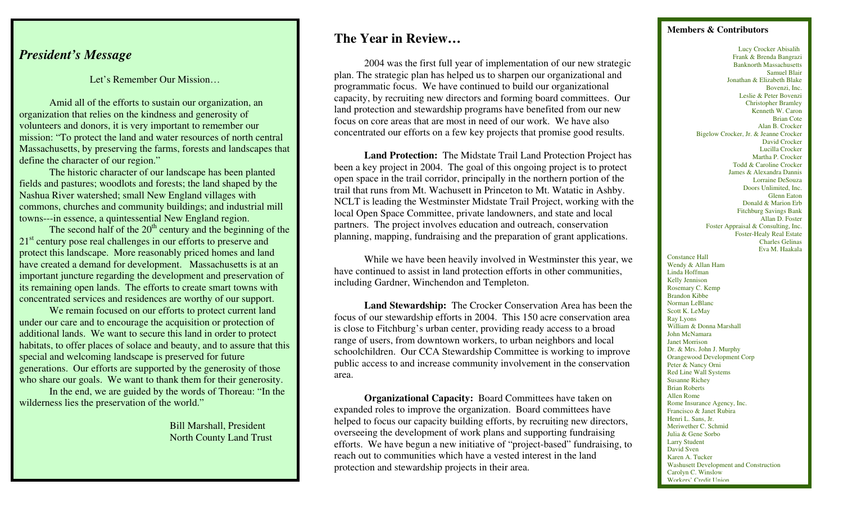# *President's Message*

Let's Remember Our Mission…

 Amid all of the efforts to sustain our organization, an organization that relies on the kindness and generosity of volunteers and donors, it is very important to remember our mission: "To protect the land and water resources of north central Massachusetts, by preserving the farms, forests and landscapes that define the character of our region."

 The historic character of our landscape has been planted fields and pastures; woodlots and forests; the land shaped by the Nashua River watershed; small New England villages with commons, churches and community buildings; and industrial mill towns---in essence, a quintessential New England region.

The second half of the  $20<sup>th</sup>$  century and the beginning of the 21<sup>st</sup> century pose real challenges in our efforts to preserve and protect this landscape. More reasonably priced homes and land have created a demand for development. Massachusetts is at an important juncture regarding the development and preservation of its remaining open lands. The efforts to create smart towns with concentrated services and residences are worthy of our support.

 We remain focused on our efforts to protect current land under our care and to encourage the acquisition or protection of additional lands. We want to secure this land in order to protect habitats, to offer places of solace and beauty, and to assure that this special and welcoming landscape is preserved for future generations. Our efforts are supported by the generosity of those who share our goals. We want to thank them for their generosity.

In the end, we are guided by the words of Thoreau: "In the wilderness lies the preservation of the world."

> Bill Marshall, President North County Land Trust

## **The Year in Review…**

2004 was the first full year of implementation of our new strategic plan. The strategic plan has helped us to sharpen our organizational and programmatic focus. We have continued to build our organizational capacity, by recruiting new directors and forming board committees. Our land protection and stewardship programs have benefited from our new focus on core areas that are most in need of our work. We have also concentrated our efforts on a few key projects that promise good results.

**Land Protection:** The Midstate Trail Land Protection Project has been a key project in 2004. The goal of this ongoing project is to protect open space in the trail corridor, principally in the northern portion of the trail that runs from Mt. Wachusett in Princeton to Mt. Watatic in Ashby. NCLT is leading the Westminster Midstate Trail Project, working with the local Open Space Committee, private landowners, and state and local partners. The project involves education and outreach, conservation planning, mapping, fundraising and the preparation of grant applications.

While we have been heavily involved in Westminster this year, we have continued to assist in land protection efforts in other communities, including Gardner, Winchendon and Templeton.

**Land Stewardship:** The Crocker Conservation Area has been the focus of our stewardship efforts in 2004. This 150 acre conservation area is close to Fitchburg's urban center, providing ready access to a broad range of users, from downtown workers, to urban neighbors and local schoolchildren. Our CCA Stewardship Committee is working to improve public access to and increase community involvement in the conservation area.

**Organizational Capacity:** Board Committees have taken on expanded roles to improve the organization. Board committees have helped to focus our capacity building efforts, by recruiting new directors, overseeing the development of work plans and supporting fundraising efforts. We have begun a new initiative of "project-based" fundraising, to reach out to communities which have a vested interest in the land protection and stewardship projects in their area.

#### **Members & Contributors**

 Lucy Crocker Abisalih Frank & Brenda Bangrazi Banknorth Massachusetts Samuel Blair Jonathan & Elizabeth Blake Bovenzi, Inc. Leslie & Peter Bovenzi Christopher Bramley Kenneth W. Caron Brian Cote Alan B. Crocker Bigelow Crocker, Jr. & Jeanne Crocker David Crocker Lucilla Crocker Martha P. Crocker Todd & Caroline Crocker James & Alexandra Dannis Lorraine DeSouza Doors Unlimited, Inc. Glenn Eaton Donald & Marion Erb Fitchburg Savings Bank Allan D. Foster Foster Appraisal & Consulting, Inc. Foster-Healy Real Estate Charles Gelinas Eva M. Haakala

Constance Hall Wendy & Allan Ham Linda Hoffman Kelly Jennison Rosemary C. Kemp Brandon Kibbe Norman LeBlanc Scott K. LeMay Ray Lyons William & Donna Marshall John McNamara Janet Morrison Dr. & Mrs. John J. Murphy Orangewood Development Corp Peter & Nancy Orni Red Line Wall Systems Susanne Richey Brian Roberts Allen Rome Rome Insurance Agency, Inc. Francisco & Janet Rubira Henri L. Sans, Jr. Meriwether C. Schmid Julia & Gene Sorbo Larry Student David Sven Karen A. Tucker Washusett Development and Construction Carolyn C. Winslow Workers' Credit Union